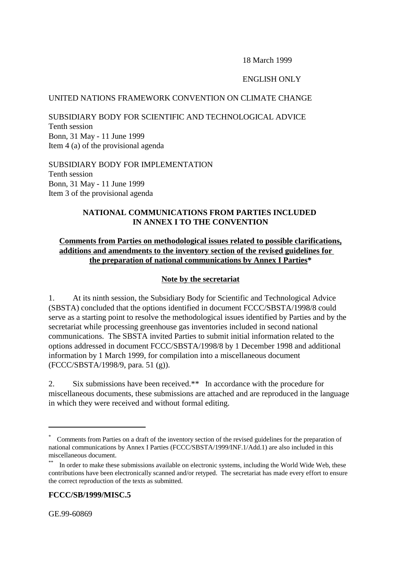18 March 1999

## ENGLISH ONLY

### UNITED NATIONS FRAMEWORK CONVENTION ON CLIMATE CHANGE

SUBSIDIARY BODY FOR SCIENTIFIC AND TECHNOLOGICAL ADVICE Tenth session Bonn, 31 May - 11 June 1999 Item 4 (a) of the provisional agenda

SUBSIDIARY BODY FOR IMPLEMENTATION Tenth session Bonn, 31 May - 11 June 1999 Item 3 of the provisional agenda

# **NATIONAL COMMUNICATIONS FROM PARTIES INCLUDED IN ANNEX I TO THE CONVENTION**

## **Comments from Parties on methodological issues related to possible clarifications, additions and amendments to the inventory section of the revised guidelines for the preparation of national communications by Annex I Parties\***

## **Note by the secretariat**

1. At its ninth session, the Subsidiary Body for Scientific and Technological Advice (SBSTA) concluded that the options identified in document FCCC/SBSTA/1998/8 could serve as a starting point to resolve the methodological issues identified by Parties and by the secretariat while processing greenhouse gas inventories included in second national communications. The SBSTA invited Parties to submit initial information related to the options addressed in document FCCC/SBSTA/1998/8 by 1 December 1998 and additional information by 1 March 1999, for compilation into a miscellaneous document (FCCC/SBSTA/1998/9, para. 51 (g)).

2. Six submissions have been received.\*\* In accordance with the procedure for miscellaneous documents, these submissions are attached and are reproduced in the language in which they were received and without formal editing.

**FCCC/SB/1999/MISC.5**

GE.99-60869

<sup>\*</sup> Comments from Parties on a draft of the inventory section of the revised guidelines for the preparation of national communications by Annex I Parties (FCCC/SBSTA/1999/INF.1/Add.1) are also included in this miscellaneous document.

In order to make these submissions available on electronic systems, including the World Wide Web, these contributions have been electronically scanned and/or retyped. The secretariat has made every effort to ensure the correct reproduction of the texts as submitted.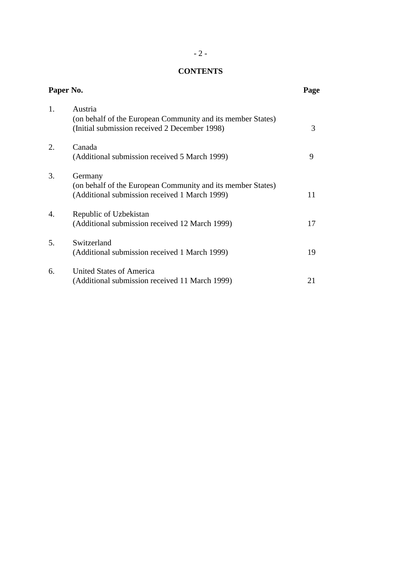# **CONTENTS**

| Paper No. |                                                                                                                         | Page |
|-----------|-------------------------------------------------------------------------------------------------------------------------|------|
| 1.        | Austria<br>(on behalf of the European Community and its member States)<br>(Initial submission received 2 December 1998) | 3    |
| 2.        | Canada<br>(Additional submission received 5 March 1999)                                                                 | 9    |
| 3.        | Germany<br>(on behalf of the European Community and its member States)<br>(Additional submission received 1 March 1999) | 11   |
| 4.        | Republic of Uzbekistan<br>(Additional submission received 12 March 1999)                                                | 17   |
| 5.        | Switzerland<br>(Additional submission received 1 March 1999)                                                            | 19   |
| 6.        | United States of America<br>(Additional submission received 11 March 1999)                                              | 21   |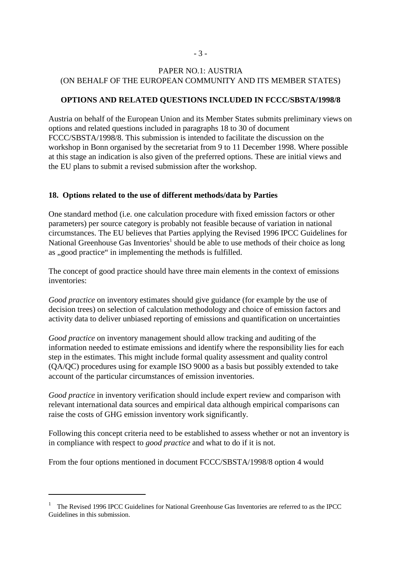# PAPER NO.1: AUSTRIA (ON BEHALF OF THE EUROPEAN COMMUNITY AND ITS MEMBER STATES)

## **OPTIONS AND RELATED QUESTIONS INCLUDED IN FCCC/SBSTA/1998/8**

Austria on behalf of the European Union and its Member States submits preliminary views on options and related questions included in paragraphs 18 to 30 of document FCCC/SBSTA/1998/8. This submission is intended to facilitate the discussion on the workshop in Bonn organised by the secretariat from 9 to 11 December 1998. Where possible at this stage an indication is also given of the preferred options. These are initial views and the EU plans to submit a revised submission after the workshop.

### **18. Options related to the use of different methods/data by Parties**

One standard method (i.e. one calculation procedure with fixed emission factors or other parameters) per source category is probably not feasible because of variation in national circumstances. The EU believes that Parties applying the Revised 1996 IPCC Guidelines for National Greenhouse Gas Inventories<sup>1</sup> should be able to use methods of their choice as long as ,,good practice" in implementing the methods is fulfilled.

The concept of good practice should have three main elements in the context of emissions inventories:

*Good practice* on inventory estimates should give guidance (for example by the use of decision trees) on selection of calculation methodology and choice of emission factors and activity data to deliver unbiased reporting of emissions and quantification on uncertainties

*Good practice* on inventory management should allow tracking and auditing of the information needed to estimate emissions and identify where the responsibility lies for each step in the estimates. This might include formal quality assessment and quality control (QA/QC) procedures using for example ISO 9000 as a basis but possibly extended to take account of the particular circumstances of emission inventories.

*Good practice* in inventory verification should include expert review and comparison with relevant international data sources and empirical data although empirical comparisons can raise the costs of GHG emission inventory work significantly.

Following this concept criteria need to be established to assess whether or not an inventory is in compliance with respect to *good practice* and what to do if it is not.

From the four options mentioned in document FCCC/SBSTA/1998/8 option 4 would

<sup>1</sup> The Revised 1996 IPCC Guidelines for National Greenhouse Gas Inventories are referred to as the IPCC Guidelines in this submission.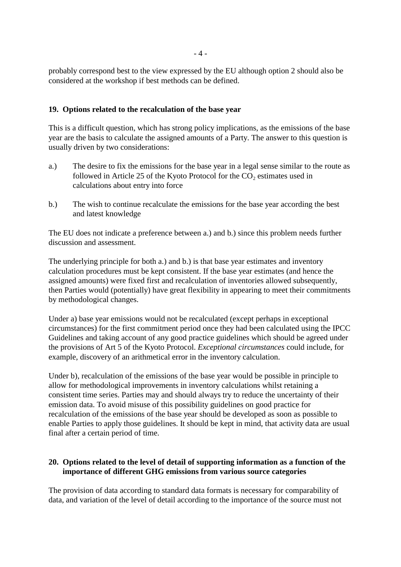probably correspond best to the view expressed by the EU although option 2 should also be considered at the workshop if best methods can be defined.

## **19. Options related to the recalculation of the base year**

This is a difficult question, which has strong policy implications, as the emissions of the base year are the basis to calculate the assigned amounts of a Party. The answer to this question is usually driven by two considerations:

- a.) The desire to fix the emissions for the base year in a legal sense similar to the route as followed in Article 25 of the Kyoto Protocol for the  $CO<sub>2</sub>$  estimates used in calculations about entry into force
- b.) The wish to continue recalculate the emissions for the base year according the best and latest knowledge

The EU does not indicate a preference between a.) and b.) since this problem needs further discussion and assessment.

The underlying principle for both a.) and b.) is that base year estimates and inventory calculation procedures must be kept consistent. If the base year estimates (and hence the assigned amounts) were fixed first and recalculation of inventories allowed subsequently, then Parties would (potentially) have great flexibility in appearing to meet their commitments by methodological changes.

Under a) base year emissions would not be recalculated (except perhaps in exceptional circumstances) for the first commitment period once they had been calculated using the IPCC Guidelines and taking account of any good practice guidelines which should be agreed under the provisions of Art 5 of the Kyoto Protocol. *Exceptional circumstances* could include, for example, discovery of an arithmetical error in the inventory calculation.

Under b), recalculation of the emissions of the base year would be possible in principle to allow for methodological improvements in inventory calculations whilst retaining a consistent time series. Parties may and should always try to reduce the uncertainty of their emission data. To avoid misuse of this possibility guidelines on good practice for recalculation of the emissions of the base year should be developed as soon as possible to enable Parties to apply those guidelines. It should be kept in mind, that activity data are usual final after a certain period of time.

## **20. Options related to the level of detail of supporting information as a function of the importance of different GHG emissions from various source categories**

The provision of data according to standard data formats is necessary for comparability of data, and variation of the level of detail according to the importance of the source must not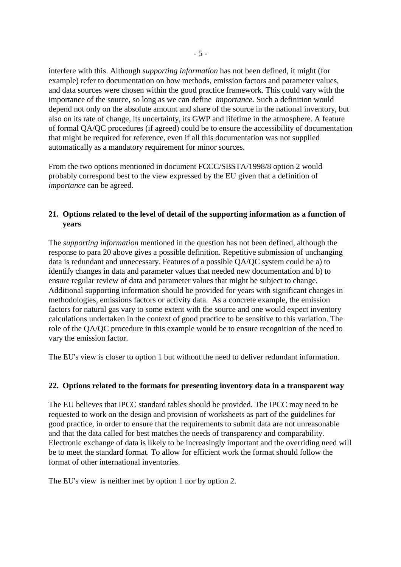interfere with this. Although *supporting information* has not been defined, it might (for example) refer to documentation on how methods, emission factors and parameter values, and data sources were chosen within the good practice framework. This could vary with the importance of the source, so long as we can define *importance.* Such a definition would depend not only on the absolute amount and share of the source in the national inventory, but also on its rate of change, its uncertainty, its GWP and lifetime in the atmosphere. A feature of formal QA/QC procedures (if agreed) could be to ensure the accessibility of documentation that might be required for reference, even if all this documentation was not supplied automatically as a mandatory requirement for minor sources.

From the two options mentioned in document FCCC/SBSTA/1998/8 option 2 would probably correspond best to the view expressed by the EU given that a definition of *importance* can be agreed.

# **21. Options related to the level of detail of the supporting information as a function of years**

The *supporting information* mentioned in the question has not been defined, although the response to para 20 above gives a possible definition. Repetitive submission of unchanging data is redundant and unnecessary. Features of a possible QA/QC system could be a) to identify changes in data and parameter values that needed new documentation and b) to ensure regular review of data and parameter values that might be subject to change. Additional supporting information should be provided for years with significant changes in methodologies, emissions factors or activity data. As a concrete example, the emission factors for natural gas vary to some extent with the source and one would expect inventory calculations undertaken in the context of good practice to be sensitive to this variation. The role of the QA/QC procedure in this example would be to ensure recognition of the need to vary the emission factor.

The EU's view is closer to option 1 but without the need to deliver redundant information.

# **22. Options related to the formats for presenting inventory data in a transparent way**

The EU believes that IPCC standard tables should be provided. The IPCC may need to be requested to work on the design and provision of worksheets as part of the guidelines for good practice, in order to ensure that the requirements to submit data are not unreasonable and that the data called for best matches the needs of transparency and comparability. Electronic exchange of data is likely to be increasingly important and the overriding need will be to meet the standard format. To allow for efficient work the format should follow the format of other international inventories.

The EU's view is neither met by option 1 nor by option 2.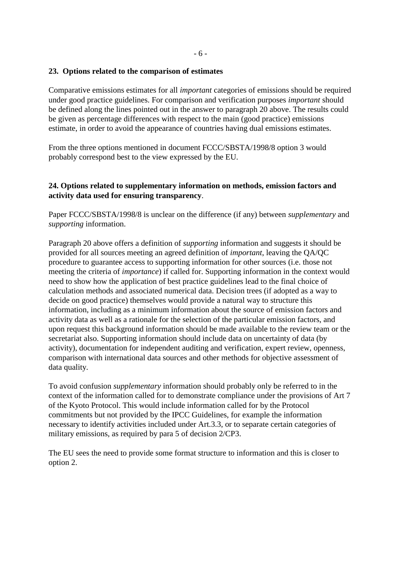### **23. Options related to the comparison of estimates**

Comparative emissions estimates for all *important* categories of emissions should be required under good practice guidelines. For comparison and verification purposes *important* should be defined along the lines pointed out in the answer to paragraph 20 above. The results could be given as percentage differences with respect to the main (good practice) emissions estimate, in order to avoid the appearance of countries having dual emissions estimates.

From the three options mentioned in document FCCC/SBSTA/1998/8 option 3 would probably correspond best to the view expressed by the EU.

## **24. Options related to supplementary information on methods, emission factors and activity data used for ensuring transparency**.

Paper FCCC/SBSTA/1998/8 is unclear on the difference (if any) between *supplementary* and *supporting* information.

Paragraph 20 above offers a definition of *supporting* information and suggests it should be provided for all sources meeting an agreed definition of *important*, leaving the QA/QC procedure to guarantee access to supporting information for other sources (i.e. those not meeting the criteria of *importance*) if called for. Supporting information in the context would need to show how the application of best practice guidelines lead to the final choice of calculation methods and associated numerical data. Decision trees (if adopted as a way to decide on good practice) themselves would provide a natural way to structure this information, including as a minimum information about the source of emission factors and activity data as well as a rationale for the selection of the particular emission factors, and upon request this background information should be made available to the review team or the secretariat also. Supporting information should include data on uncertainty of data (by activity), documentation for independent auditing and verification, expert review, openness, comparison with international data sources and other methods for objective assessment of data quality.

To avoid confusion *supplementary* information should probably only be referred to in the context of the information called for to demonstrate compliance under the provisions of Art 7 of the Kyoto Protocol. This would include information called for by the Protocol commitments but not provided by the IPCC Guidelines, for example the information necessary to identify activities included under Art.3.3, or to separate certain categories of military emissions, as required by para 5 of decision 2/CP3.

The EU sees the need to provide some format structure to information and this is closer to option 2.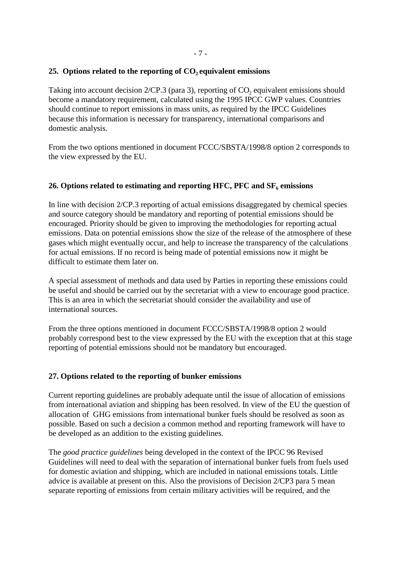## **25. Options related to the reporting of CO<sub>2</sub> equivalent emissions**

Taking into account decision  $2/CP.3$  (para 3), reporting of  $CO$ , equivalent emissions should become a mandatory requirement, calculated using the 1995 IPCC GWP values. Countries should continue to report emissions in mass units, as required by the IPCC Guidelines because this information is necessary for transparency, international comparisons and domestic analysis.

From the two options mentioned in document FCCC/SBSTA/1998/8 option 2 corresponds to the view expressed by the EU.

## 26. Options related to estimating and reporting HFC, PFC and  $SF<sub>6</sub>$  emissions

In line with decision 2/CP.3 reporting of actual emissions disaggregated by chemical species and source category should be mandatory and reporting of potential emissions should be encouraged. Priority should be given to improving the methodologies for reporting actual emissions. Data on potential emissions show the size of the release of the atmosphere of these gases which might eventually occur, and help to increase the transparency of the calculations for actual emissions. If no record is being made of potential emissions now it might be difficult to estimate them later on.

A special assessment of methods and data used by Parties in reporting these emissions could be useful and should be carried out by the secretariat with a view to encourage good practice. This is an area in which the secretariat should consider the availability and use of international sources.

From the three options mentioned in document FCCC/SBSTA/1998/8 option 2 would probably correspond best to the view expressed by the EU with the exception that at this stage reporting of potential emissions should not be mandatory but encouraged.

# **27. Options related to the reporting of bunker emissions**

Current reporting guidelines are probably adequate until the issue of allocation of emissions from international aviation and shipping has been resolved. In view of the EU the question of allocation of GHG emissions from international bunker fuels should be resolved as soon as possible. Based on such a decision a common method and reporting framework will have to be developed as an addition to the existing guidelines.

The *good practice guidelines* being developed in the context of the IPCC 96 Revised Guidelines will need to deal with the separation of international bunker fuels from fuels used for domestic aviation and shipping, which are included in national emissions totals. Little advice is available at present on this. Also the provisions of Decision 2/CP3 para 5 mean separate reporting of emissions from certain military activities will be required, and the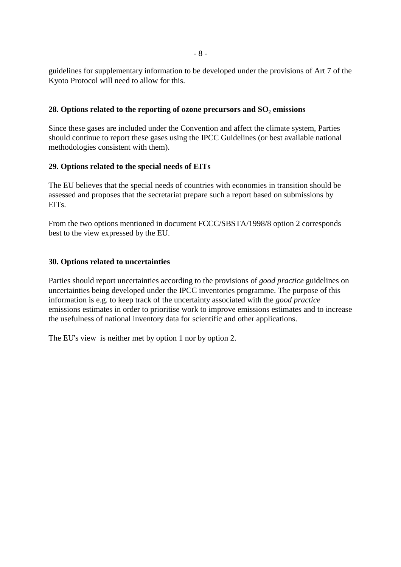guidelines for supplementary information to be developed under the provisions of Art 7 of the Kyoto Protocol will need to allow for this.

### 28. Options related to the reporting of ozone precursors and SO<sub>2</sub> emissions

Since these gases are included under the Convention and affect the climate system, Parties should continue to report these gases using the IPCC Guidelines (or best available national methodologies consistent with them).

## **29. Options related to the special needs of EITs**

The EU believes that the special needs of countries with economies in transition should be assessed and proposes that the secretariat prepare such a report based on submissions by EITs.

From the two options mentioned in document FCCC/SBSTA/1998/8 option 2 corresponds best to the view expressed by the EU.

## **30. Options related to uncertainties**

Parties should report uncertainties according to the provisions of *good practice* guidelines on uncertainties being developed under the IPCC inventories programme. The purpose of this information is e.g. to keep track of the uncertainty associated with the *good practice* emissions estimates in order to prioritise work to improve emissions estimates and to increase the usefulness of national inventory data for scientific and other applications.

The EU's view is neither met by option 1 nor by option 2.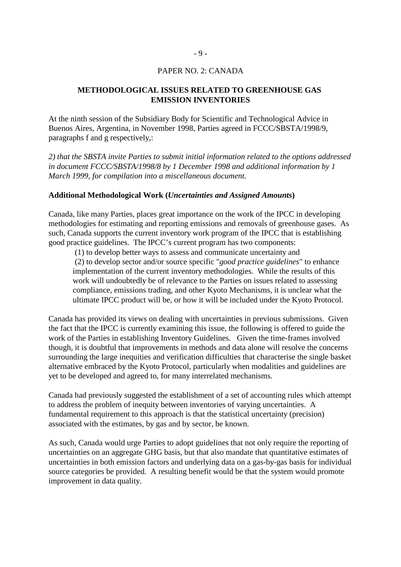#### PAPER NO. 2: CANADA

### **METHODOLOGICAL ISSUES RELATED TO GREENHOUSE GAS EMISSION INVENTORIES**

At the ninth session of the Subsidiary Body for Scientific and Technological Advice in Buenos Aires, Argentina, in November 1998, Parties agreed in FCCC/SBSTA/1998/9, paragraphs f and g respectively,:

*2) that the SBSTA invite Parties to submit initial information related to the options addressed in document FCCC/SBSTA/1998/8 by 1 December 1998 and additional information by 1 March 1999, for compilation into a miscellaneous document.*

#### **Additional Methodological Work (***Uncertainties and Assigned Amounts***)**

Canada, like many Parties, places great importance on the work of the IPCC in developing methodologies for estimating and reporting emissions and removals of greenhouse gases. As such, Canada supports the current inventory work program of the IPCC that is establishing good practice guidelines. The IPCC's current program has two components:

 (1) to develop better ways to assess and communicate uncertainty and (2) to develop sector and/or source specific "*good practice guidelines*" to enhance implementation of the current inventory methodologies. While the results of this work will undoubtedly be of relevance to the Parties on issues related to assessing compliance, emissions trading, and other Kyoto Mechanisms, it is unclear what the ultimate IPCC product will be, or how it will be included under the Kyoto Protocol.

Canada has provided its views on dealing with uncertainties in previous submissions. Given the fact that the IPCC is currently examining this issue, the following is offered to guide the work of the Parties in establishing Inventory Guidelines. Given the time-frames involved though, it is doubtful that improvements in methods and data alone will resolve the concerns surrounding the large inequities and verification difficulties that characterise the single basket alternative embraced by the Kyoto Protocol, particularly when modalities and guidelines are yet to be developed and agreed to, for many interrelated mechanisms.

Canada had previously suggested the establishment of a set of accounting rules which attempt to address the problem of inequity between inventories of varying uncertainties. A fundamental requirement to this approach is that the statistical uncertainty (precision) associated with the estimates, by gas and by sector, be known.

As such, Canada would urge Parties to adopt guidelines that not only require the reporting of uncertainties on an aggregate GHG basis, but that also mandate that quantitative estimates of uncertainties in both emission factors and underlying data on a gas-by-gas basis for individual source categories be provided. A resulting benefit would be that the system would promote improvement in data quality.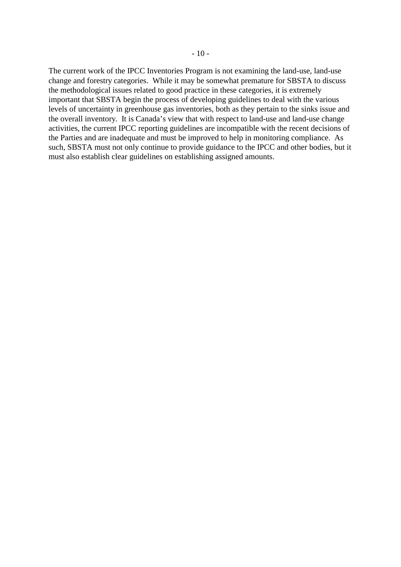The current work of the IPCC Inventories Program is not examining the land-use, land-use change and forestry categories. While it may be somewhat premature for SBSTA to discuss the methodological issues related to good practice in these categories, it is extremely important that SBSTA begin the process of developing guidelines to deal with the various levels of uncertainty in greenhouse gas inventories, both as they pertain to the sinks issue and the overall inventory. It is Canada's view that with respect to land-use and land-use change activities, the current IPCC reporting guidelines are incompatible with the recent decisions of the Parties and are inadequate and must be improved to help in monitoring compliance. As such, SBSTA must not only continue to provide guidance to the IPCC and other bodies, but it must also establish clear guidelines on establishing assigned amounts.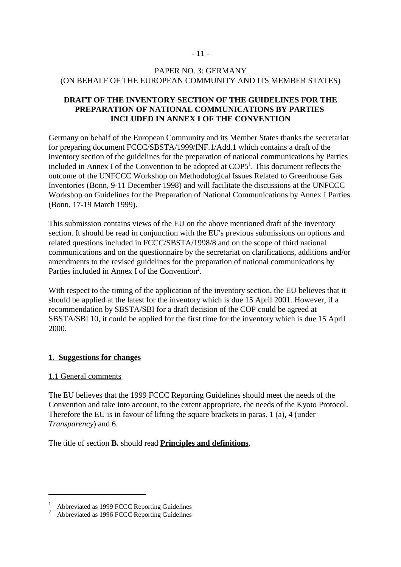## PAPER NO. 3: GERMANY (ON BEHALF OF THE EUROPEAN COMMUNITY AND ITS MEMBER STATES)

# **DRAFT OF THE INVENTORY SECTION OF THE GUIDELINES FOR THE PREPARATION OF NATIONAL COMMUNICATIONS BY PARTIES INCLUDED IN ANNEX I OF THE CONVENTION**

Germany on behalf of the European Community and its Member States thanks the secretariat for preparing document FCCC/SBSTA/1999/INF.1/Add.1 which contains a draft of the inventory section of the guidelines for the preparation of national communications by Parties included in Annex I of the Convention to be adopted at COP5<sup>1</sup>. This document reflects the outcome of the UNFCCC Workshop on Methodological Issues Related to Greenhouse Gas Inventories (Bonn, 9-11 December 1998) and will facilitate the discussions at the UNFCCC Workshop on Guidelines for the Preparation of National Communications by Annex I Parties (Bonn, 17-19 March 1999).

This submission contains views of the EU on the above mentioned draft of the inventory section. It should be read in conjunction with the EU's previous submissions on options and related questions included in FCCC/SBSTA/1998/8 and on the scope of third national communications and on the questionnaire by the secretariat on clarifications, additions and/or amendments to the revised guidelines for the preparation of national communications by Parties included in Annex I of the Convention<sup>2</sup>.

With respect to the timing of the application of the inventory section, the EU believes that it should be applied at the latest for the inventory which is due 15 April 2001. However, if a recommendation by SBSTA/SBI for a draft decision of the COP could be agreed at SBSTA/SBI 10, it could be applied for the first time for the inventory which is due 15 April 2000.

### **1. Suggestions for changes**

### 1.1 General comments

The EU believes that the 1999 FCCC Reporting Guidelines should meet the needs of the Convention and take into account, to the extent appropriate, the needs of the Kyoto Protocol. Therefore the EU is in favour of lifting the square brackets in paras. 1 (a), 4 (under *Transparency*) and 6.

The title of section **B.** should read **Principles and definitions**.

Abbreviated as 1999 FCCC Reporting Guidelines<br>Abbreviated as 1996 FCCC Reporting Guidelines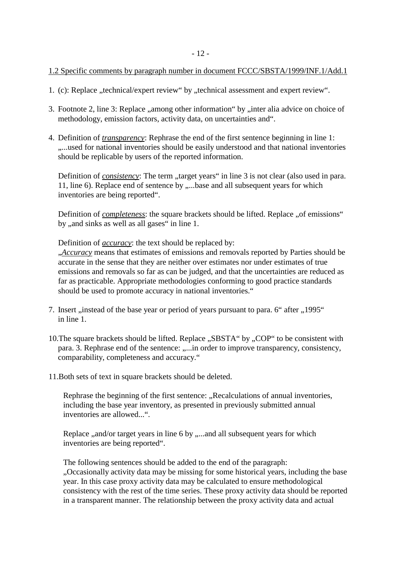### 1.2 Specific comments by paragraph number in document FCCC/SBSTA/1999/INF.1/Add.1

- 1. (c): Replace "technical/expert review" by "technical assessment and expert review".
- 3. Footnote 2, line 3: Replace "among other information" by "inter alia advice on choice of methodology, emission factors, activity data, on uncertainties and".
- 4. Definition of *transparency*: Rephrase the end of the first sentence beginning in line 1: ....used for national inventories should be easily understood and that national inventories should be replicable by users of the reported information.

Definition of *consistency*: The term "target years" in line 3 is not clear (also used in para. 11, line 6). Replace end of sentence by .....base and all subsequent years for which inventories are being reported".

Definition of *completeness*: the square brackets should be lifted. Replace "of emissions" by , and sinks as well as all gases" in line 1.

Definition of *accuracy*: the text should be replaced by:

"*Accuracy* means that estimates of emissions and removals reported by Parties should be accurate in the sense that they are neither over estimates nor under estimates of true emissions and removals so far as can be judged, and that the uncertainties are reduced as far as practicable. Appropriate methodologies conforming to good practice standards should be used to promote accuracy in national inventories."

- 7. Insert "instead of the base year or period of years pursuant to para. 6" after "1995" in line 1.
- 10. The square brackets should be lifted. Replace "SBSTA" by "COP" to be consistent with para. 3. Rephrase end of the sentence: ....in order to improve transparency, consistency, comparability, completeness and accuracy."
- 11.Both sets of text in square brackets should be deleted.

Rephrase the beginning of the first sentence: "Recalculations of annual inventories, including the base year inventory, as presented in previously submitted annual inventories are allowed...".

Replace "and/or target years in line 6 by "....and all subsequent years for which inventories are being reported".

The following sentences should be added to the end of the paragraph: "Occasionally activity data may be missing for some historical years, including the base year. In this case proxy activity data may be calculated to ensure methodological consistency with the rest of the time series. These proxy activity data should be reported in a transparent manner. The relationship between the proxy activity data and actual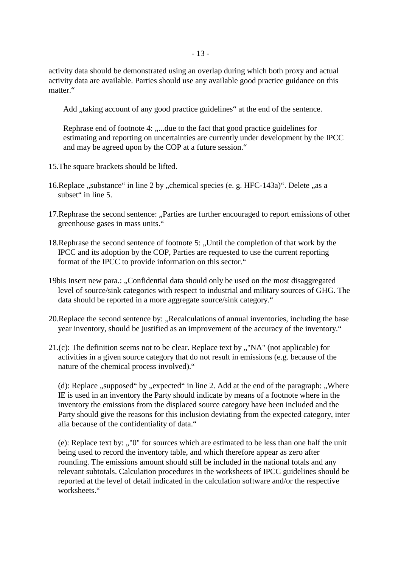activity data should be demonstrated using an overlap during which both proxy and actual activity data are available. Parties should use any available good practice guidance on this matter."

Add , taking account of any good practice guidelines" at the end of the sentence.

Rephrase end of footnote 4: .....due to the fact that good practice guidelines for estimating and reporting on uncertainties are currently under development by the IPCC and may be agreed upon by the COP at a future session."

- 15.The square brackets should be lifted.
- 16. Replace "substance" in line 2 by "chemical species (e. g. HFC-143a)". Delete "as a subset" in line 5.
- 17. Rephrase the second sentence: "Parties are further encouraged to report emissions of other greenhouse gases in mass units."
- 18. Rephrase the second sentence of footnote 5: "Until the completion of that work by the IPCC and its adoption by the COP, Parties are requested to use the current reporting format of the IPCC to provide information on this sector."
- 19bis Insert new para.: "Confidential data should only be used on the most disaggregated level of source/sink categories with respect to industrial and military sources of GHG. The data should be reported in a more aggregate source/sink category."
- 20. Replace the second sentence by: "Recalculations of annual inventories, including the base year inventory, should be justified as an improvement of the accuracy of the inventory."
- 21.(c): The definition seems not to be clear. Replace text by  $\mathcal{N}$ , "NA" (not applicable) for activities in a given source category that do not result in emissions (e.g. because of the nature of the chemical process involved)."

(d): Replace  $,$ supposed" by  $,$ expected" in line 2. Add at the end of the paragraph:  $,$  Where IE is used in an inventory the Party should indicate by means of a footnote where in the inventory the emissions from the displaced source category have been included and the Party should give the reasons for this inclusion deviating from the expected category, inter alia because of the confidentiality of data."

(e): Replace text by:  $\cdot$ , "0" for sources which are estimated to be less than one half the unit being used to record the inventory table, and which therefore appear as zero after rounding. The emissions amount should still be included in the national totals and any relevant subtotals. Calculation procedures in the worksheets of IPCC guidelines should be reported at the level of detail indicated in the calculation software and/or the respective worksheets."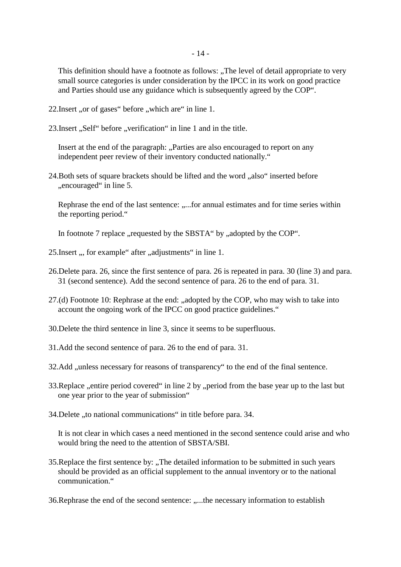This definition should have a footnote as follows: "The level of detail appropriate to very" small source categories is under consideration by the IPCC in its work on good practice and Parties should use any guidance which is subsequently agreed by the COP".

22. Insert "or of gases" before "which are" in line 1.

23. Insert "Self" before "verification" in line 1 and in the title.

Insert at the end of the paragraph: "Parties are also encouraged to report on any independent peer review of their inventory conducted nationally."

24. Both sets of square brackets should be lifted and the word "also" inserted before ", encouraged" in line 5.

Rephrase the end of the last sentence: .....for annual estimates and for time series within the reporting period."

In footnote 7 replace , requested by the SBSTA" by , adopted by the COP".

- 25. Insert , for example " after , adjustments" in line 1.
- 26.Delete para. 26, since the first sentence of para. 26 is repeated in para. 30 (line 3) and para. 31 (second sentence). Add the second sentence of para. 26 to the end of para. 31.
- 27.(d) Footnote 10: Rephrase at the end: ..adopted by the COP, who may wish to take into account the ongoing work of the IPCC on good practice guidelines."
- 30.Delete the third sentence in line 3, since it seems to be superfluous.
- 31.Add the second sentence of para. 26 to the end of para. 31.
- 32.Add , unless necessary for reasons of transparency to the end of the final sentence.
- 33. Replace ,, entire period covered" in line 2 by ,, period from the base year up to the last but one year prior to the year of submission"
- 34. Delete , to national communications " in title before para. 34.

It is not clear in which cases a need mentioned in the second sentence could arise and who would bring the need to the attention of SBSTA/SBI.

35. Replace the first sentence by: "The detailed information to be submitted in such years should be provided as an official supplement to the annual inventory or to the national communication."

36. Rephrase the end of the second sentence: .....the necessary information to establish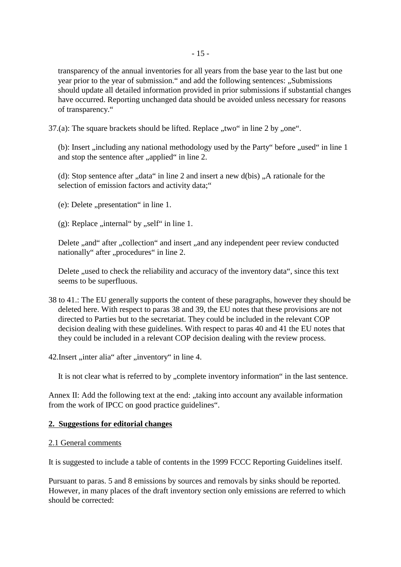transparency of the annual inventories for all years from the base year to the last but one year prior to the year of submission." and add the following sentences: "Submissions" should update all detailed information provided in prior submissions if substantial changes have occurred. Reporting unchanged data should be avoided unless necessary for reasons of transparency."

37.(a): The square brackets should be lifted. Replace  $\mu$ two" in line 2 by  $\mu$ , one".

(b): Insert ,,including any national methodology used by the Party" before ,,used" in line 1 and stop the sentence after "applied" in line 2.

(d): Stop sentence after  $\alpha$ , data" in line 2 and insert a new d(bis)  $\alpha$ , A rationale for the selection of emission factors and activity data;"

 $(e)$ : Delete "presentation" in line 1.

(g): Replace ,,internal " by  $\alpha$ , self" in line 1.

Delete ,,and" after ,,collection" and insert ,,and any independent peer review conducted nationally" after "procedures" in line 2.

Delete , used to check the reliability and accuracy of the inventory data", since this text seems to be superfluous.

38 to 41.: The EU generally supports the content of these paragraphs, however they should be deleted here. With respect to paras 38 and 39, the EU notes that these provisions are not directed to Parties but to the secretariat. They could be included in the relevant COP decision dealing with these guidelines. With respect to paras 40 and 41 the EU notes that they could be included in a relevant COP decision dealing with the review process.

42. Insert "inter alia" after "inventory" in line 4.

It is not clear what is referred to by "complete inventory information" in the last sentence.

Annex II: Add the following text at the end: "taking into account any available information from the work of IPCC on good practice guidelines".

### **2. Suggestions for editorial changes**

### 2.1 General comments

It is suggested to include a table of contents in the 1999 FCCC Reporting Guidelines itself.

Pursuant to paras. 5 and 8 emissions by sources and removals by sinks should be reported. However, in many places of the draft inventory section only emissions are referred to which should be corrected: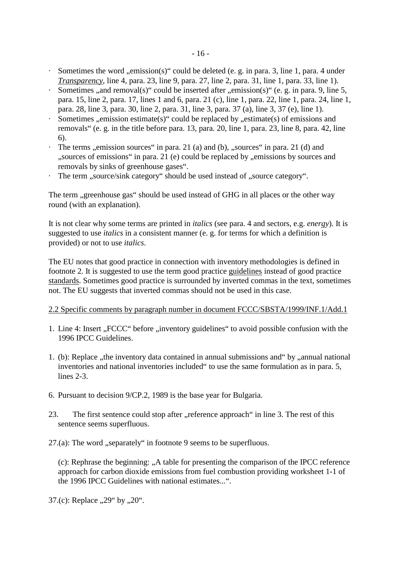- Sometimes the word  $\alpha$  emission(s)" could be deleted (e. g. in para. 3, line 1, para. 4 under *Transparency*, line 4, para. 23, line 9, para. 27, line 2, para. 31, line 1, para. 33, line 1).
- Sometimes ,, and removal(s)" could be inserted after ,, emission(s)" (e. g. in para. 9, line 5, para. 15, line 2, para. 17, lines 1 and 6, para. 21 (c), line 1, para. 22, line 1, para. 24, line 1, para. 28, line 3, para. 30, line 2, para. 31, line 3, para. 37 (a), line 3, 37 (e), line 1).
- Sometimes  $\alpha$ , emission estimate(s)" could be replaced by  $\alpha$ , estimate(s) of emissions and removals" (e. g. in the title before para. 13, para. 20, line 1, para. 23, line 8, para. 42, line 6).
- $\cdot$  The terms "emission sources" in para. 21 (a) and (b), "sources" in para. 21 (d) and ", sources of emissions" in para. 21 (e) could be replaced by "emissions by sources and removals by sinks of greenhouse gases".
- The term "source/sink category" should be used instead of "source category".

The term , greenhouse gas" should be used instead of GHG in all places or the other way round (with an explanation).

It is not clear why some terms are printed in *italics* (see para. 4 and sectors, e.g. *energy*). It is suggested to use *italics* in a consistent manner (e. g. for terms for which a definition is provided) or not to use *italics*.

The EU notes that good practice in connection with inventory methodologies is defined in footnote 2. It is suggested to use the term good practice guidelines instead of good practice standards. Sometimes good practice is surrounded by inverted commas in the text, sometimes not. The EU suggests that inverted commas should not be used in this case.

### 2.2 Specific comments by paragraph number in document FCCC/SBSTA/1999/INF.1/Add.1

- 1. Line 4: Insert "FCCC" before "inventory guidelines" to avoid possible confusion with the 1996 IPCC Guidelines.
- 1. (b): Replace , the inventory data contained in annual submissions and " by , annual national inventories and national inventories included" to use the same formulation as in para. 5, lines 2-3
- 6. Pursuant to decision 9/CP.2, 1989 is the base year for Bulgaria.
- 23. The first sentence could stop after "reference approach" in line 3. The rest of this sentence seems superfluous.
- $27.(a)$ : The word "separately" in footnote 9 seems to be superfluous.

(c): Rephrase the beginning: "A table for presenting the comparison of the IPCC reference approach for carbon dioxide emissions from fuel combustion providing worksheet 1-1 of the 1996 IPCC Guidelines with national estimates...".

37.(c): Replace  $,29$ " by  $,20$ ".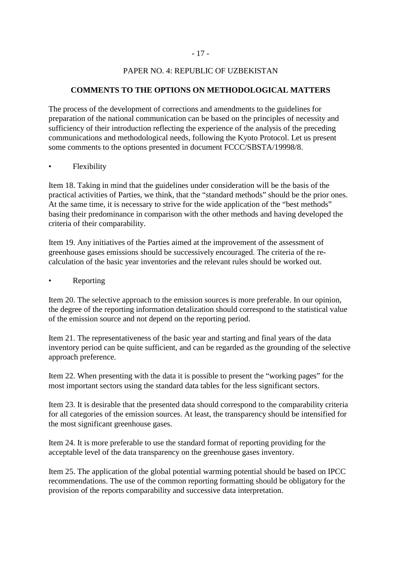### - 17 -

## PAPER NO. 4: REPUBLIC OF UZBEKISTAN

# **COMMENTS TO THE OPTIONS ON METHODOLOGICAL MATTERS**

The process of the development of corrections and amendments to the guidelines for preparation of the national communication can be based on the principles of necessity and sufficiency of their introduction reflecting the experience of the analysis of the preceding communications and methodological needs, following the Kyoto Protocol. Let us present some comments to the options presented in document FCCC/SBSTA/19998/8.

### **Flexibility**

Item 18. Taking in mind that the guidelines under consideration will be the basis of the practical activities of Parties, we think, that the "standard methods" should be the prior ones. At the same time, it is necessary to strive for the wide application of the "best methods" basing their predominance in comparison with the other methods and having developed the criteria of their comparability.

Item 19. Any initiatives of the Parties aimed at the improvement of the assessment of greenhouse gases emissions should be successively encouraged. The criteria of the recalculation of the basic year inventories and the relevant rules should be worked out.

#### **Reporting**

Item 20. The selective approach to the emission sources is more preferable. In our opinion, the degree of the reporting information detalization should correspond to the statistical value of the emission source and not depend on the reporting period.

Item 21. The representativeness of the basic year and starting and final years of the data inventory period can be quite sufficient, and can be regarded as the grounding of the selective approach preference.

Item 22. When presenting with the data it is possible to present the "working pages" for the most important sectors using the standard data tables for the less significant sectors.

Item 23. It is desirable that the presented data should correspond to the comparability criteria for all categories of the emission sources. At least, the transparency should be intensified for the most significant greenhouse gases.

Item 24. It is more preferable to use the standard format of reporting providing for the acceptable level of the data transparency on the greenhouse gases inventory.

Item 25. The application of the global potential warming potential should be based on IPCC recommendations. The use of the common reporting formatting should be obligatory for the provision of the reports comparability and successive data interpretation.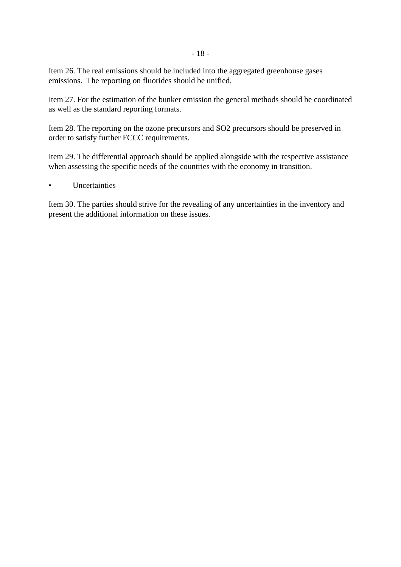Item 26. The real emissions should be included into the aggregated greenhouse gases emissions. The reporting on fluorides should be unified.

Item 27. For the estimation of the bunker emission the general methods should be coordinated as well as the standard reporting formats.

Item 28. The reporting on the ozone precursors and SO2 precursors should be preserved in order to satisfy further FCCC requirements.

Item 29. The differential approach should be applied alongside with the respective assistance when assessing the specific needs of the countries with the economy in transition.

**Uncertainties** 

Item 30. The parties should strive for the revealing of any uncertainties in the inventory and present the additional information on these issues.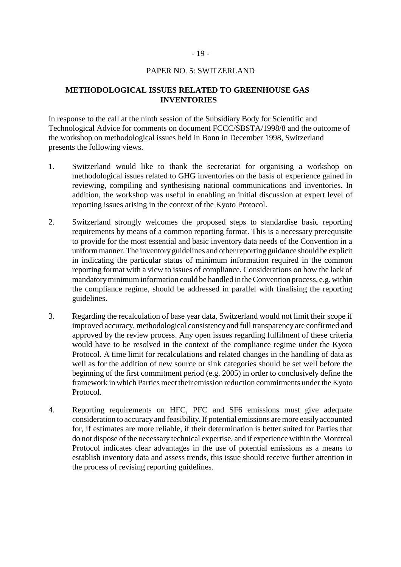#### PAPER NO. 5: SWITZERLAND

### **METHODOLOGICAL ISSUES RELATED TO GREENHOUSE GAS INVENTORIES**

In response to the call at the ninth session of the Subsidiary Body for Scientific and Technological Advice for comments on document FCCC/SBSTA/1998/8 and the outcome of the workshop on methodological issues held in Bonn in December 1998, Switzerland presents the following views.

- 1. Switzerland would like to thank the secretariat for organising a workshop on methodological issues related to GHG inventories on the basis of experience gained in reviewing, compiling and synthesising national communications and inventories. In addition, the workshop was useful in enabling an initial discussion at expert level of reporting issues arising in the context of the Kyoto Protocol.
- 2. Switzerland strongly welcomes the proposed steps to standardise basic reporting requirements by means of a common reporting format. This is a necessary prerequisite to provide for the most essential and basic inventory data needs of the Convention in a uniform manner. The inventory guidelines and other reporting guidance should be explicit in indicating the particular status of minimum information required in the common reporting format with a view to issues of compliance. Considerations on how the lack of mandatory minimum information could be handled in the Convention process, e.g. within the compliance regime, should be addressed in parallel with finalising the reporting guidelines.
- 3. Regarding the recalculation of base year data, Switzerland would not limit their scope if improved accuracy, methodological consistency and full transparency are confirmed and approved by the review process. Any open issues regarding fulfilment of these criteria would have to be resolved in the context of the compliance regime under the Kyoto Protocol. A time limit for recalculations and related changes in the handling of data as well as for the addition of new source or sink categories should be set well before the beginning of the first commitment period (e.g. 2005) in order to conclusively define the framework in which Parties meet their emission reduction commitments under the Kyoto Protocol.
- 4. Reporting requirements on HFC, PFC and SF6 emissions must give adequate consideration to accuracy and feasibility. If potential emissions are more easily accounted for, if estimates are more reliable, if their determination is better suited for Parties that do not dispose of the necessary technical expertise, and if experience within the Montreal Protocol indicates clear advantages in the use of potential emissions as a means to establish inventory data and assess trends, this issue should receive further attention in the process of revising reporting guidelines.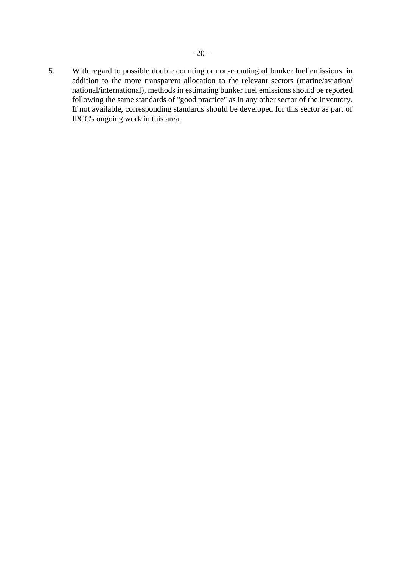5. With regard to possible double counting or non-counting of bunker fuel emissions, in addition to the more transparent allocation to the relevant sectors (marine/aviation/ national/international), methods in estimating bunker fuel emissions should be reported following the same standards of "good practice" as in any other sector of the inventory. If not available, corresponding standards should be developed for this sector as part of IPCC's ongoing work in this area.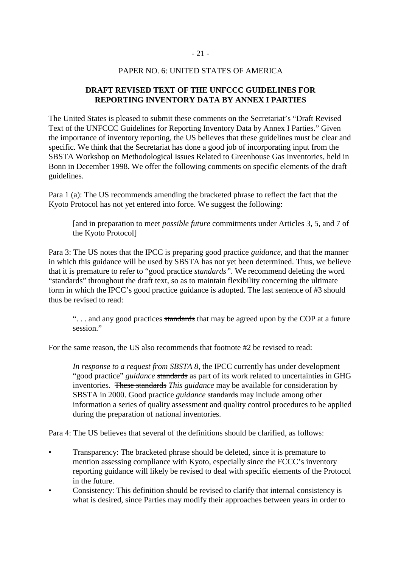## PAPER NO. 6: UNITED STATES OF AMERICA

## **DRAFT REVISED TEXT OF THE UNFCCC GUIDELINES FOR REPORTING INVENTORY DATA BY ANNEX I PARTIES**

The United States is pleased to submit these comments on the Secretariat's "Draft Revised Text of the UNFCCC Guidelines for Reporting Inventory Data by Annex I Parties." Given the importance of inventory reporting, the US believes that these guidelines must be clear and specific. We think that the Secretariat has done a good job of incorporating input from the SBSTA Workshop on Methodological Issues Related to Greenhouse Gas Inventories, held in Bonn in December 1998. We offer the following comments on specific elements of the draft guidelines.

Para 1 (a): The US recommends amending the bracketed phrase to reflect the fact that the Kyoto Protocol has not yet entered into force. We suggest the following:

[and in preparation to meet *possible future* commitments under Articles 3, 5, and 7 of the Kyoto Protocol]

Para 3: The US notes that the IPCC is preparing good practice *guidance*, and that the manner in which this guidance will be used by SBSTA has not yet been determined. Thus, we believe that it is premature to refer to "good practice *standards"*. We recommend deleting the word "standards" throughout the draft text, so as to maintain flexibility concerning the ultimate form in which the IPCC's good practice guidance is adopted. The last sentence of #3 should thus be revised to read:

"... and any good practices standards that may be agreed upon by the COP at a future session."

For the same reason, the US also recommends that footnote #2 be revised to read:

*In response to a request from SBSTA 8*, the IPCC currently has under development "good practice" *guidance* standards as part of its work related to uncertainties in GHG inventories. These standards *This guidance* may be available for consideration by SBSTA in 2000. Good practice *guidance* standards may include among other information a series of quality assessment and quality control procedures to be applied during the preparation of national inventories.

Para 4: The US believes that several of the definitions should be clarified, as follows:

- Transparency: The bracketed phrase should be deleted, since it is premature to mention assessing compliance with Kyoto, especially since the FCCC's inventory reporting guidance will likely be revised to deal with specific elements of the Protocol in the future.
- Consistency: This definition should be revised to clarify that internal consistency is what is desired, since Parties may modify their approaches between years in order to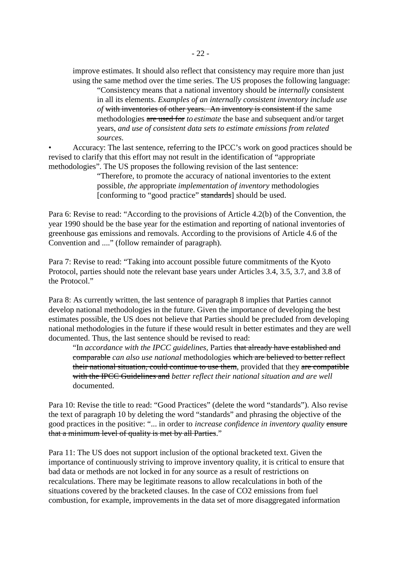improve estimates. It should also reflect that consistency may require more than just using the same method over the time series. The US proposes the following language:

"Consistency means that a national inventory should be *internally* consistent in all its elements. *Examples of an internally consistent inventory include use of* with inventories of other years. An inventory is consistent if the same methodologies are used for *to estimate* the base and subsequent and/or target years, *and use of consistent data sets to estimate emissions from related sources.*

• Accuracy: The last sentence, referring to the IPCC's work on good practices should be revised to clarify that this effort may not result in the identification of "appropriate methodologies". The US proposes the following revision of the last sentence:

> "Therefore, to promote the accuracy of national inventories to the extent possible, *the* appropriate *implementation of inventory* methodologies [conforming to "good practice" standards] should be used.

Para 6: Revise to read: "According to the provisions of Article 4.2(b) of the Convention, the year 1990 should be the base year for the estimation and reporting of national inventories of greenhouse gas emissions and removals. According to the provisions of Article 4.6 of the Convention and ...." (follow remainder of paragraph).

Para 7: Revise to read: "Taking into account possible future commitments of the Kyoto Protocol, parties should note the relevant base years under Articles 3.4, 3.5, 3.7, and 3.8 of the Protocol."

Para 8: As currently written, the last sentence of paragraph 8 implies that Parties cannot develop national methodologies in the future. Given the importance of developing the best estimates possible, the US does not believe that Parties should be precluded from developing national methodologies in the future if these would result in better estimates and they are well documented. Thus, the last sentence should be revised to read:

"In *accordance with the IPCC guidelines,* Parties that already have established and comparable *can also use national* methodologies which are believed to better reflect their national situation, could continue to use them, provided that they are compatible with the IPCC Guidelines and *better reflect their national situation and are well* documented.

Para 10: Revise the title to read: "Good Practices" (delete the word "standards"). Also revise the text of paragraph 10 by deleting the word "standards" and phrasing the objective of the good practices in the positive: "... in order to *increase confidence in inventory quality* ensure that a minimum level of quality is met by all Parties."

Para 11: The US does not support inclusion of the optional bracketed text. Given the importance of continuously striving to improve inventory quality, it is critical to ensure that bad data or methods are not locked in for any source as a result of restrictions on recalculations. There may be legitimate reasons to allow recalculations in both of the situations covered by the bracketed clauses. In the case of CO2 emissions from fuel combustion, for example, improvements in the data set of more disaggregated information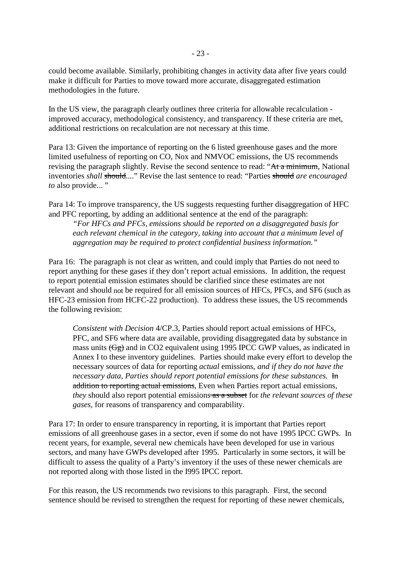could become available. Similarly, prohibiting changes in activity data after five years could make it difficult for Parties to move toward more accurate, disaggregated estimation methodologies in the future.

In the US view, the paragraph clearly outlines three criteria for allowable recalculation improved accuracy, methodological consistency, and transparency. If these criteria are met, additional restrictions on recalculation are not necessary at this time.

Para 13: Given the importance of reporting on the 6 listed greenhouse gases and the more limited usefulness of reporting on CO, Nox and NMVOC emissions, the US recommends revising the paragraph slightly. Revise the second sentence to read: "At a minimum, National inventories *shall* should...." Revise the last sentence to read: "Parties should *are encouraged to* also provide... "

Para 14: To improve transparency, the US suggests requesting further disaggregation of HFC and PFC reporting, by adding an additional sentence at the end of the paragraph:

*"For HFCs and PFCs, emissions should be reported on a disaggregated basis for each relevant chemical in the category, taking into account that a minimum level of aggregation may be required to protect confidential business information."*

Para 16: The paragraph is not clear as written, and could imply that Parties do not need to report anything for these gases if they don't report actual emissions. In addition, the request to report potential emission estimates should be clarified since these estimates are not relevant and should not be required for all emission sources of HFCs, PFCs, and SF6 (such as HFC-23 emission from HCFC-22 production). To address these issues, the US recommends the following revision:

*Consistent with Decision* 4/CP.3, Parties should report actual emissions of HFCs, PFC, and SF6 where data are available, providing disaggregated data by substance in mass units  $(\overline{Gg})$  and in CO2 equivalent using 1995 IPCC GWP values, as indicated in Annex I to these inventory guidelines. Parties should make every effort to develop the necessary sources of data for reporting *actual* emissions, *and if they do not have the necessary data, Parties should report potential emissions for these substances.* **In** addition to reporting actual emissions, Even when Parties report actual emissions, *they* should also report potential emissions as a subset for *the relevant sources of these gases,* for reasons of transparency and comparability.

Para 17: In order to ensure transparency in reporting, it is important that Parties report emissions of all greenhouse gases in a sector, even if some do not have 1995 IPCC GWPs. In recent years, for example, several new chemicals have been developed for use in various sectors, and many have GWPs developed after 1995. Particularly in some sectors, it will be difficult to assess the quality of a Party's inventory if the uses of these newer chemicals are not reported along with those listed in the I995 IPCC report.

For this reason, the US recommends two revisions to this paragraph. First, the second sentence should be revised to strengthen the request for reporting of these newer chemicals,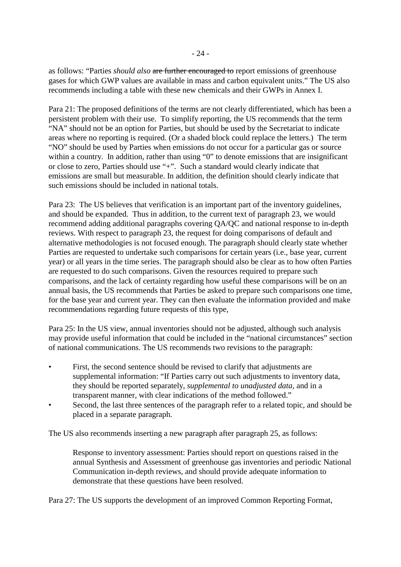as follows: "Parties *should also* are further encouraged to report emissions of greenhouse gases for which GWP values are available in mass and carbon equivalent units." The US also recommends including a table with these new chemicals and their GWPs in Annex I.

Para 21: The proposed definitions of the terms are not clearly differentiated, which has been a persistent problem with their use. To simplify reporting, the US recommends that the term "NA" should not be an option for Parties, but should be used by the Secretariat to indicate areas where no reporting is required. (Or a shaded block could replace the letters.) The term "NO" should be used by Parties when emissions do not occur for a particular gas or source within a country. In addition, rather than using "0" to denote emissions that are insignificant or close to zero, Parties should use "+". Such a standard would clearly indicate that emissions are small but measurable. In addition, the definition should clearly indicate that such emissions should be included in national totals.

Para 23: The US believes that verification is an important part of the inventory guidelines, and should be expanded. Thus in addition, to the current text of paragraph 23, we would recommend adding additional paragraphs covering QA/QC and national response to in-depth reviews. With respect to paragraph 23, the request for doing comparisons of default and alternative methodologies is not focused enough. The paragraph should clearly state whether Parties are requested to undertake such comparisons for certain years (i.e., base year, current year) or all years in the time series. The paragraph should also be clear as to how often Parties are requested to do such comparisons. Given the resources required to prepare such comparisons, and the lack of certainty regarding how useful these comparisons will be on an annual basis, the US recommends that Parties be asked to prepare such comparisons one time, for the base year and current year. They can then evaluate the information provided and make recommendations regarding future requests of this type,

Para 25: In the US view, annual inventories should not be adjusted, although such analysis may provide useful information that could be included in the "national circumstances" section of national communications. The US recommends two revisions to the paragraph:

- First, the second sentence should be revised to clarify that adjustments are supplemental information: "If Parties carry out such adjustments to inventory data, they should be reported separately, *supplemental to unadjusted data,* and in a transparent manner, with clear indications of the method followed."
- Second, the last three sentences of the paragraph refer to a related topic, and should be placed in a separate paragraph.

The US also recommends inserting a new paragraph after paragraph 25, as follows:

Response to inventory assessment: Parties should report on questions raised in the annual Synthesis and Assessment of greenhouse gas inventories and periodic National Communication in-depth reviews, and should provide adequate information to demonstrate that these questions have been resolved.

Para 27: The US supports the development of an improved Common Reporting Format,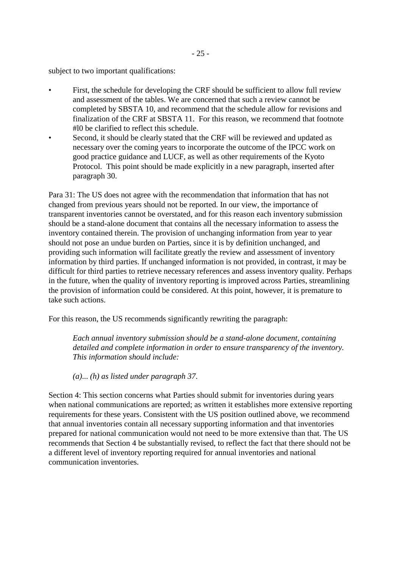subject to two important qualifications:

- First, the schedule for developing the CRF should be sufficient to allow full review and assessment of the tables. We are concerned that such a review cannot be completed by SBSTA 10, and recommend that the schedule allow for revisions and finalization of the CRF at SBSTA 11. For this reason, we recommend that footnote #l0 be clarified to reflect this schedule.
- Second, it should be clearly stated that the CRF will be reviewed and updated as necessary over the coming years to incorporate the outcome of the IPCC work on good practice guidance and LUCF, as well as other requirements of the Kyoto Protocol. This point should be made explicitly in a new paragraph, inserted after paragraph 30.

Para 31: The US does not agree with the recommendation that information that has not changed from previous years should not be reported. In our view, the importance of transparent inventories cannot be overstated, and for this reason each inventory submission should be a stand-alone document that contains all the necessary information to assess the inventory contained therein. The provision of unchanging information from year to year should not pose an undue burden on Parties, since it is by definition unchanged, and providing such information will facilitate greatly the review and assessment of inventory information by third parties. If unchanged information is not provided, in contrast, it may be difficult for third parties to retrieve necessary references and assess inventory quality. Perhaps in the future, when the quality of inventory reporting is improved across Parties, streamlining the provision of information could be considered. At this point, however, it is premature to take such actions.

For this reason, the US recommends significantly rewriting the paragraph:

*Each annual inventory submission should be a stand-alone document, containing detailed and complete information in order to ensure transparency of the inventory. This information should include:*

*(a)*... *(h) as listed under paragraph 37*.

Section 4: This section concerns what Parties should submit for inventories during years when national communications are reported; as written it establishes more extensive reporting requirements for these years. Consistent with the US position outlined above, we recommend that annual inventories contain all necessary supporting information and that inventories prepared for national communication would not need to be more extensive than that. The US recommends that Section 4 be substantially revised, to reflect the fact that there should not be a different level of inventory reporting required for annual inventories and national communication inventories.